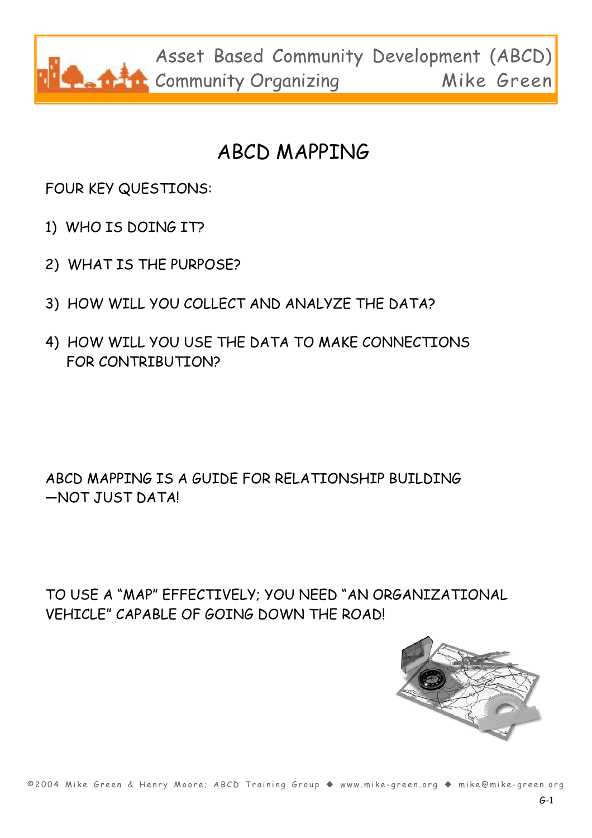

### ABCD MAPPING

FOUR KEY QUESTIONS:

- 1) WHO IS DOING IT?
- 2) WHAT IS THE PURPOSE?
- 3) HOW WILL YOU COLLECT AND ANALYZE THE DATA?
- 4) HOW WILL YOU USE THE DATA TO MAKE CONNECTIONS FOR CONTRIBUTION?

ABCD MAPPING IS A GUIDE FOR RELATIONSHIP BUILDING —NOT JUST DATA!

TO USE A "MAP" EFFECTIVELY; YOU NEED "AN ORGANIZATIONAL VEHICLE" CAPABLE OF GOING DOWN THE ROAD!



©2004 Mike Green & Henry Moore; ABCD Training Group ◆ www.mike-green.org ◆ mike@mike-green.org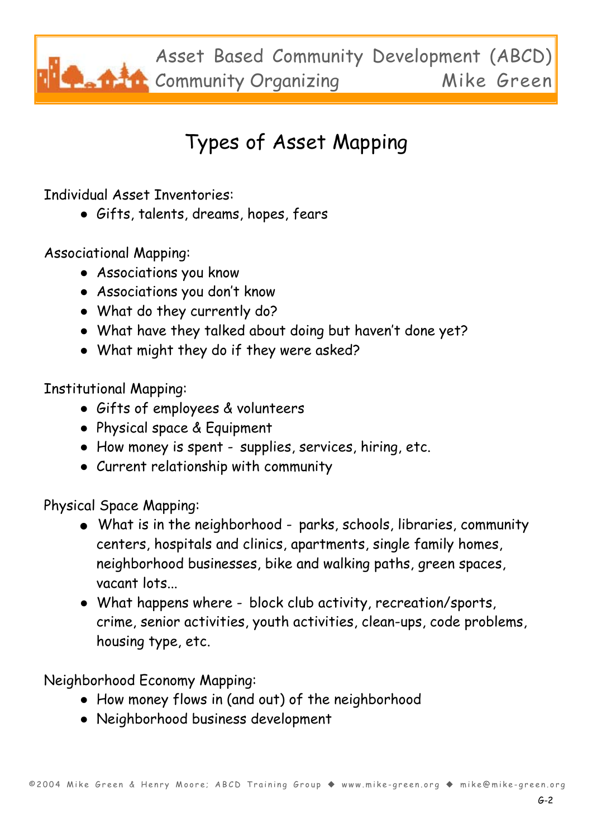Asset Based Community Development (ABCD) Community Organizing Mike Green

# Types of Asset Mapping

Individual Asset Inventories:

● Gifts, talents, dreams, hopes, fears

Associational Mapping:

- Associations you know
- Associations you don't know
- What do they currently do?
- What have they talked about doing but haven't done yet?
- What might they do if they were asked?

Institutional Mapping:

- Gifts of employees & volunteers
- Physical space & Equipment
- How money is spent supplies, services, hiring, etc.
- Current relationship with community

Physical Space Mapping:

- What is in the neighborhood parks, schools, libraries, community centers, hospitals and clinics, apartments, single family homes, neighborhood businesses, bike and walking paths, green spaces, vacant lots...
- What happens where block club activity, recreation/sports, crime, senior activities, youth activities, clean-ups, code problems, housing type, etc.

Neighborhood Economy Mapping:

- How money flows in (and out) of the neighborhood
- Neighborhood business development